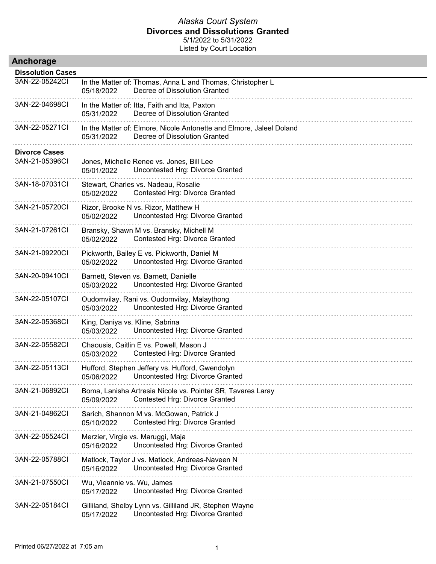| Anchorage                |                                                                                                                     |
|--------------------------|---------------------------------------------------------------------------------------------------------------------|
| <b>Dissolution Cases</b> |                                                                                                                     |
| 3AN-22-05242CI           | In the Matter of: Thomas, Anna L and Thomas, Christopher L<br>Decree of Dissolution Granted<br>05/18/2022           |
| 3AN-22-04698CI           | In the Matter of: Itta, Faith and Itta, Paxton<br>Decree of Dissolution Granted<br>05/31/2022                       |
| 3AN-22-05271Cl           | In the Matter of: Elmore, Nicole Antonette and Elmore, Jaleel Doland<br>Decree of Dissolution Granted<br>05/31/2022 |
| <b>Divorce Cases</b>     |                                                                                                                     |
| 3AN-21-05396CI           | Jones, Michelle Renee vs. Jones, Bill Lee<br>Uncontested Hrg: Divorce Granted<br>05/01/2022                         |
| 3AN-18-07031Cl           | Stewart, Charles vs. Nadeau, Rosalie<br>Contested Hrg: Divorce Granted<br>05/02/2022                                |
| 3AN-21-05720CI           | Rizor, Brooke N vs. Rizor, Matthew H<br>Uncontested Hrg: Divorce Granted<br>05/02/2022                              |
| 3AN-21-07261CI           | Bransky, Shawn M vs. Bransky, Michell M<br>Contested Hrg: Divorce Granted<br>05/02/2022                             |
| 3AN-21-09220CI           | Pickworth, Bailey E vs. Pickworth, Daniel M<br>Uncontested Hrg: Divorce Granted<br>05/02/2022                       |
| 3AN-20-09410CI           | Barnett, Steven vs. Barnett, Danielle<br>Uncontested Hrg: Divorce Granted<br>05/03/2022                             |
| 3AN-22-05107Cl           | Oudomvilay, Rani vs. Oudomvilay, Malaythong<br>Uncontested Hrg: Divorce Granted<br>05/03/2022                       |
| 3AN-22-05368CI           | King, Daniya vs. Kline, Sabrina<br>05/03/2022<br>Uncontested Hrg: Divorce Granted                                   |
| 3AN-22-05582CI           | Chaousis, Caitlin E vs. Powell, Mason J<br>Contested Hrg: Divorce Granted<br>05/03/2022                             |
| 3AN-22-05113CI           | Hufford, Stephen Jeffery vs. Hufford, Gwendolyn<br>05/06/2022<br>Uncontested Hrg: Divorce Granted                   |
| 3AN-21-06892Cl           | Boma, Lanisha Artresia Nicole vs. Pointer SR, Tavares Laray<br>Contested Hrg: Divorce Granted<br>05/09/2022         |
| 3AN-21-04862Cl           | Sarich, Shannon M vs. McGowan, Patrick J<br>05/10/2022<br>Contested Hrg: Divorce Granted                            |
| 3AN-22-05524CI           | Merzier, Virgie vs. Maruggi, Maja<br>Uncontested Hrg: Divorce Granted<br>05/16/2022                                 |
| 3AN-22-05788CI           | Matlock, Taylor J vs. Matlock, Andreas-Naveen N<br>Uncontested Hrg: Divorce Granted<br>05/16/2022                   |
| 3AN-21-07550Cl           | Wu, Vieannie vs. Wu, James<br>05/17/2022<br>Uncontested Hrg: Divorce Granted                                        |
| 3AN-22-05184Cl           | Gilliland, Shelby Lynn vs. Gilliland JR, Stephen Wayne<br>Uncontested Hrg: Divorce Granted<br>05/17/2022            |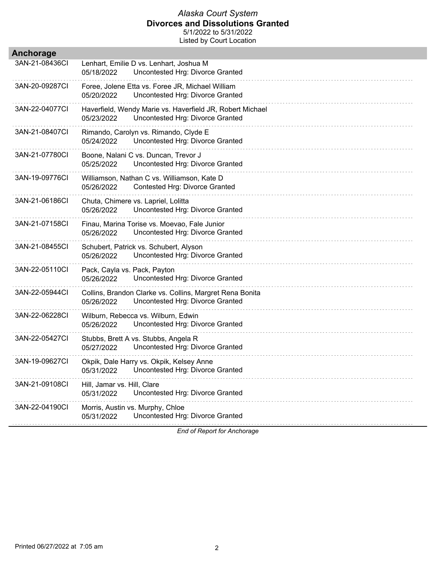Listed by Court Location

| Anchorage      |                                                                                                             |
|----------------|-------------------------------------------------------------------------------------------------------------|
| 3AN-21-08436CI | Lenhart, Emilie D vs. Lenhart, Joshua M<br>Uncontested Hrg: Divorce Granted<br>05/18/2022                   |
| 3AN-20-09287CI | Foree, Jolene Etta vs. Foree JR, Michael William<br>Uncontested Hrg: Divorce Granted<br>05/20/2022          |
| 3AN-22-04077CI | Haverfield, Wendy Marie vs. Haverfield JR, Robert Michael<br>Uncontested Hrg: Divorce Granted<br>05/23/2022 |
| 3AN-21-08407CI | Rimando, Carolyn vs. Rimando, Clyde E<br>Uncontested Hrg: Divorce Granted<br>05/24/2022                     |
| 3AN-21-07780Cl | Boone, Nalani C vs. Duncan, Trevor J<br>Uncontested Hrg: Divorce Granted<br>05/25/2022                      |
| 3AN-19-09776CI | Williamson, Nathan C vs. Williamson, Kate D<br>Contested Hrg: Divorce Granted<br>05/26/2022                 |
| 3AN-21-06186CI | Chuta, Chimere vs. Lapriel, Lolitta<br>Uncontested Hrg: Divorce Granted<br>05/26/2022                       |
| 3AN-21-07158CI | Finau, Marina Torise vs. Moevao, Fale Junior<br>Uncontested Hrg: Divorce Granted<br>05/26/2022              |
| 3AN-21-08455CI | Schubert, Patrick vs. Schubert, Alyson<br>Uncontested Hrg: Divorce Granted<br>05/26/2022                    |
| 3AN-22-05110CI | Pack, Cayla vs. Pack, Payton<br>Uncontested Hrg: Divorce Granted<br>05/26/2022                              |
| 3AN-22-05944CI | Collins, Brandon Clarke vs. Collins, Margret Rena Bonita<br>Uncontested Hrg: Divorce Granted<br>05/26/2022  |
| 3AN-22-06228CI | Wilburn, Rebecca vs. Wilburn, Edwin<br>Uncontested Hrg: Divorce Granted<br>05/26/2022                       |
| 3AN-22-05427CI | Stubbs, Brett A vs. Stubbs, Angela R<br>Uncontested Hrg: Divorce Granted<br>05/27/2022                      |
| 3AN-19-09627CI | Okpik, Dale Harry vs. Okpik, Kelsey Anne<br>05/31/2022 Uncontested Hrg: Divorce Granted                     |
| 3AN-21-09108CI | Hill, Jamar vs. Hill, Clare<br>Uncontested Hrg: Divorce Granted<br>05/31/2022                               |
| 3AN-22-04190Cl | Morris, Austin vs. Murphy, Chloe<br>Uncontested Hrg: Divorce Granted<br>05/31/2022                          |
|                |                                                                                                             |

*End of Report for Anchorage*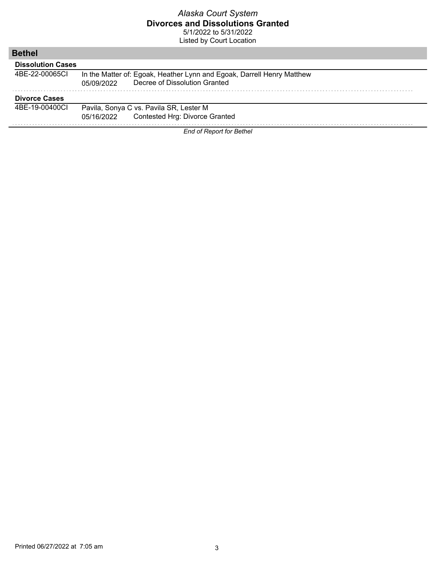| <b>Bethel</b>            |                                                                        |  |  |
|--------------------------|------------------------------------------------------------------------|--|--|
| <b>Dissolution Cases</b> |                                                                        |  |  |
| 4BE-22-00065CI           | In the Matter of: Egoak, Heather Lynn and Egoak, Darrell Henry Matthew |  |  |
|                          | Decree of Dissolution Granted<br>05/09/2022                            |  |  |
| <b>Divorce Cases</b>     |                                                                        |  |  |
| 4BE-19-00400CL           | Pavila, Sonya C vs. Pavila SR, Lester M                                |  |  |
|                          | Contested Hrg: Divorce Granted<br>05/16/2022                           |  |  |
|                          | <b>End of Report for Bethel</b>                                        |  |  |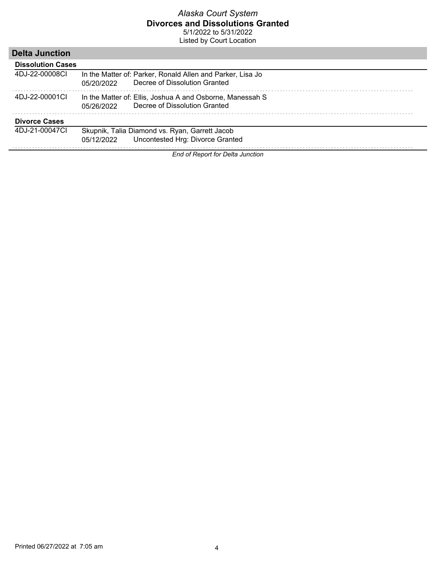Listed by Court Location

# **Delta Junction**

| <b>Dissolution Cases</b> |                                                                                                           |
|--------------------------|-----------------------------------------------------------------------------------------------------------|
| 4DJ-22-00008CL           | In the Matter of: Parker, Ronald Allen and Parker, Lisa Jo<br>Decree of Dissolution Granted<br>05/20/2022 |
| 4DJ-22-00001CL           | In the Matter of: Ellis, Joshua A and Osborne, Manessah S<br>Decree of Dissolution Granted<br>05/26/2022  |
| <b>Divorce Cases</b>     |                                                                                                           |
| 4DJ-21-00047CL           | Skupnik, Talia Diamond vs. Ryan, Garrett Jacob<br>05/12/2022 Uncontested Hrg: Divorce Granted             |

*End of Report for Delta Junction*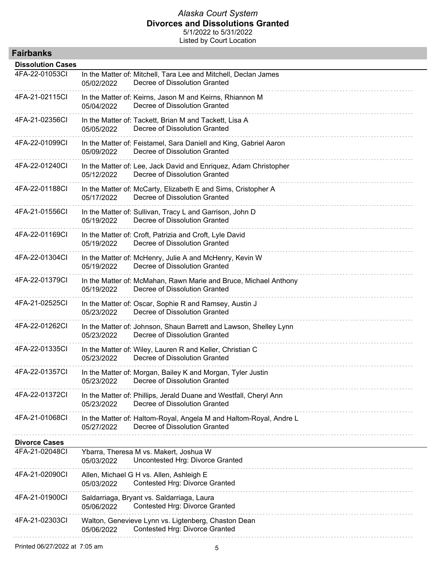| <b>Fairbanks</b>         |                                                                                                                   |
|--------------------------|-------------------------------------------------------------------------------------------------------------------|
| <b>Dissolution Cases</b> |                                                                                                                   |
| 4FA-22-01053CI           | In the Matter of: Mitchell, Tara Lee and Mitchell, Declan James<br>Decree of Dissolution Granted<br>05/02/2022    |
| 4FA-21-02115CI           | In the Matter of: Keirns, Jason M and Keirns, Rhiannon M<br>Decree of Dissolution Granted<br>05/04/2022           |
| 4FA-21-02356CI           | In the Matter of: Tackett, Brian M and Tackett, Lisa A<br>Decree of Dissolution Granted<br>05/05/2022             |
| 4FA-22-01099CI           | In the Matter of: Feistamel, Sara Daniell and King, Gabriel Aaron<br>Decree of Dissolution Granted<br>05/09/2022  |
| 4FA-22-01240Cl           | In the Matter of: Lee, Jack David and Enriquez, Adam Christopher<br>Decree of Dissolution Granted<br>05/12/2022   |
| 4FA-22-01188CI           | In the Matter of: McCarty, Elizabeth E and Sims, Cristopher A<br>Decree of Dissolution Granted<br>05/17/2022      |
| 4FA-21-01556CI           | In the Matter of: Sullivan, Tracy L and Garrison, John D<br>Decree of Dissolution Granted<br>05/19/2022           |
| 4FA-22-01169CI           | In the Matter of: Croft, Patrizia and Croft, Lyle David<br>Decree of Dissolution Granted<br>05/19/2022            |
| 4FA-22-01304Cl           | In the Matter of: McHenry, Julie A and McHenry, Kevin W<br>Decree of Dissolution Granted<br>05/19/2022            |
| 4FA-22-01379CI           | In the Matter of: McMahan, Rawn Marie and Bruce, Michael Anthony<br>Decree of Dissolution Granted<br>05/19/2022   |
| 4FA-21-02525CI           | In the Matter of: Oscar, Sophie R and Ramsey, Austin J<br>Decree of Dissolution Granted<br>05/23/2022             |
| 4FA-22-01262CI           | In the Matter of: Johnson, Shaun Barrett and Lawson, Shelley Lynn<br>Decree of Dissolution Granted<br>05/23/2022  |
| 4FA-22-01335CI           | In the Matter of: Wiley, Lauren R and Keller, Christian C<br>Decree of Dissolution Granted<br>05/23/2022          |
| 4FA-22-01357Cl           | In the Matter of: Morgan, Bailey K and Morgan, Tyler Justin<br>Decree of Dissolution Granted<br>05/23/2022        |
| 4FA-22-01372CI           | In the Matter of: Phillips, Jerald Duane and Westfall, Cheryl Ann<br>Decree of Dissolution Granted<br>05/23/2022  |
| 4FA-21-01068Cl           | In the Matter of: Haltom-Royal, Angela M and Haltom-Royal, Andre L<br>Decree of Dissolution Granted<br>05/27/2022 |
| <b>Divorce Cases</b>     |                                                                                                                   |
| 4FA-21-02048CI           | Ybarra, Theresa M vs. Makert, Joshua W<br>Uncontested Hrg: Divorce Granted<br>05/03/2022                          |
| 4FA-21-02090Cl           | Allen, Michael G H vs. Allen, Ashleigh E<br>Contested Hrg: Divorce Granted<br>05/03/2022                          |
| 4FA-21-01900CI           | Saldarriaga, Bryant vs. Saldarriaga, Laura<br>Contested Hrg: Divorce Granted<br>05/06/2022                        |
| 4FA-21-02303Cl           | Walton, Genevieve Lynn vs. Ligtenberg, Chaston Dean<br>Contested Hrg: Divorce Granted<br>05/06/2022               |
|                          |                                                                                                                   |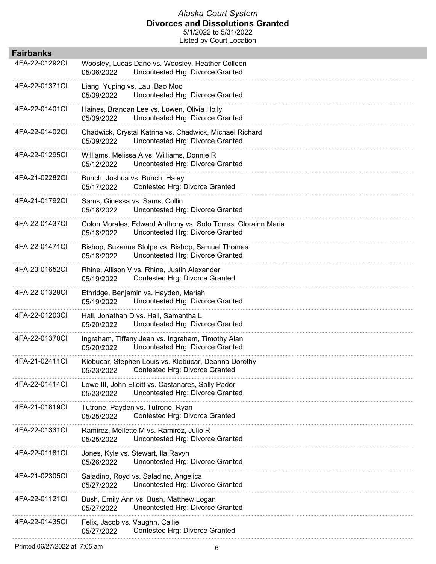| <b>Fairbanks</b> |                                                                                                                 |
|------------------|-----------------------------------------------------------------------------------------------------------------|
| 4FA-22-01292CI   | Woosley, Lucas Dane vs. Woosley, Heather Colleen<br>Uncontested Hrg: Divorce Granted<br>05/06/2022              |
| 4FA-22-01371CI   | Liang, Yuping vs. Lau, Bao Moc<br>Uncontested Hrg: Divorce Granted<br>05/09/2022                                |
| 4FA-22-01401CI   | Haines, Brandan Lee vs. Lowen, Olivia Holly<br>Uncontested Hrg: Divorce Granted<br>05/09/2022                   |
| 4FA-22-01402CI   | Chadwick, Crystal Katrina vs. Chadwick, Michael Richard<br>Uncontested Hrg: Divorce Granted<br>05/09/2022       |
| 4FA-22-01295CI   | Williams, Melissa A vs. Williams, Donnie R<br>Uncontested Hrg: Divorce Granted<br>05/12/2022                    |
| 4FA-21-02282CI   | Bunch, Joshua vs. Bunch, Haley<br>Contested Hrg: Divorce Granted<br>05/17/2022                                  |
| 4FA-21-01792Cl   | Sams, Ginessa vs. Sams, Collin<br>Uncontested Hrg: Divorce Granted<br>05/18/2022                                |
| 4FA-22-01437CI   | Colon Morales, Edward Anthony vs. Soto Torres, Glorainn Maria<br>Uncontested Hrg: Divorce Granted<br>05/18/2022 |
| 4FA-22-01471Cl   | Bishop, Suzanne Stolpe vs. Bishop, Samuel Thomas<br>05/18/2022<br>Uncontested Hrg: Divorce Granted              |
| 4FA-20-01652Cl   | Rhine, Allison V vs. Rhine, Justin Alexander<br>05/19/2022<br>Contested Hrg: Divorce Granted                    |
| 4FA-22-01328CI   | Ethridge, Benjamin vs. Hayden, Mariah<br>Uncontested Hrg: Divorce Granted<br>05/19/2022                         |
| 4FA-22-01203Cl   | Hall, Jonathan D vs. Hall, Samantha L<br>Uncontested Hrg: Divorce Granted<br>05/20/2022                         |
| 4FA-22-01370Cl   | Ingraham, Tiffany Jean vs. Ingraham, Timothy Alan<br>Uncontested Hrg: Divorce Granted<br>05/20/2022             |
| 4FA-21-02411Cl   | Klobucar, Stephen Louis vs. Klobucar, Deanna Dorothy<br>Contested Hrg: Divorce Granted<br>05/23/2022            |
| 4FA-22-01414Cl   | Lowe III, John Elloitt vs. Castanares, Sally Pador<br>Uncontested Hrg: Divorce Granted<br>05/23/2022            |
| 4FA-21-01819Cl   | Tutrone, Payden vs. Tutrone, Ryan<br>Contested Hrg: Divorce Granted<br>05/25/2022                               |
| 4FA-22-01331CI   | Ramirez, Mellette M vs. Ramirez, Julio R<br>Uncontested Hrg: Divorce Granted<br>05/25/2022                      |
| 4FA-22-01181Cl   | Jones, Kyle vs. Stewart, Ila Ravyn<br>Uncontested Hrg: Divorce Granted<br>05/26/2022                            |
| 4FA-21-02305Cl   | Saladino, Royd vs. Saladino, Angelica<br>Uncontested Hrg: Divorce Granted<br>05/27/2022                         |
| 4FA-22-01121Cl   | Bush, Emily Ann vs. Bush, Matthew Logan<br>Uncontested Hrg: Divorce Granted<br>05/27/2022                       |
| 4FA-22-01435Cl   | Felix, Jacob vs. Vaughn, Callie<br>Contested Hrg: Divorce Granted<br>05/27/2022                                 |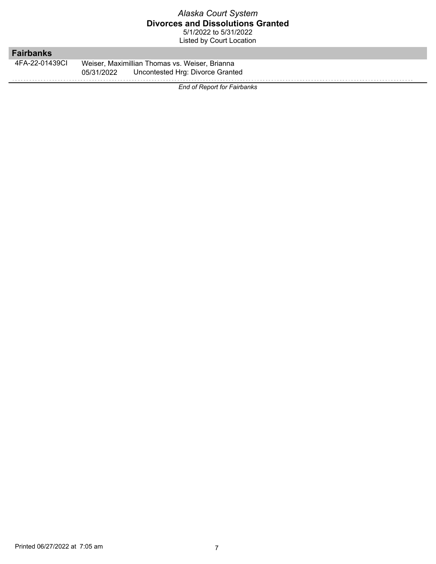Listed by Court Location

# **Fairbanks**

4FA-22-01439CI Weiser, Maximillian Thomas vs. Weiser, Brianna 05/31/2022 Uncontested Hrg: Divorce Granted

*End of Report for Fairbanks*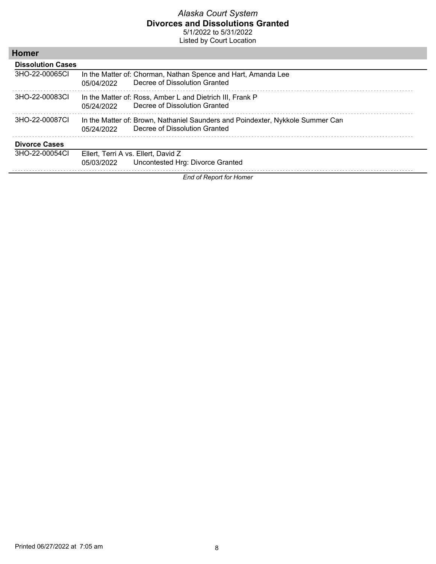Listed by Court Location

| <b>Homer</b>             |                                                   |                                                                                                                  |
|--------------------------|---------------------------------------------------|------------------------------------------------------------------------------------------------------------------|
| <b>Dissolution Cases</b> |                                                   |                                                                                                                  |
| 3HO-22-00065CL           | 05/04/2022                                        | In the Matter of: Chorman, Nathan Spence and Hart, Amanda Lee<br>Decree of Dissolution Granted                   |
| 3HO-22-00083CL           | 05/24/2022                                        | In the Matter of: Ross, Amber L and Dietrich III, Frank P<br>Decree of Dissolution Granted                       |
| 3HO-22-00087CL           | 05/24/2022                                        | In the Matter of: Brown, Nathaniel Saunders and Poindexter, Nykkole Summer Card<br>Decree of Dissolution Granted |
| <b>Divorce Cases</b>     |                                                   |                                                                                                                  |
| 3HO-22-00054CL           | Ellert, Terri A vs. Ellert, David Z<br>05/03/2022 | Uncontested Hrg: Divorce Granted                                                                                 |

*End of Report for Homer*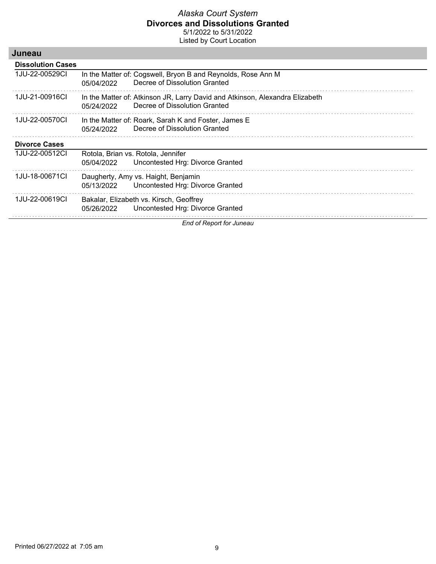| Juneau                   |            |                                                                                                               |
|--------------------------|------------|---------------------------------------------------------------------------------------------------------------|
| <b>Dissolution Cases</b> |            |                                                                                                               |
| 1JU-22-00529CI           | 05/04/2022 | In the Matter of: Cogswell, Bryon B and Reynolds, Rose Ann M<br>Decree of Dissolution Granted                 |
| 1JU-21-00916CI           | 05/24/2022 | In the Matter of: Atkinson JR, Larry David and Atkinson, Alexandra Elizabeth<br>Decree of Dissolution Granted |
| 1JU-22-00570CI           | 05/24/2022 | In the Matter of: Roark, Sarah K and Foster, James E<br>Decree of Dissolution Granted                         |
| <b>Divorce Cases</b>     |            |                                                                                                               |
| 1JU-22-00512CI           | 05/04/2022 | Rotola, Brian vs. Rotola, Jennifer<br>Uncontested Hrg: Divorce Granted                                        |
| 1JU-18-00671CI           | 05/13/2022 | Daugherty, Amy vs. Haight, Benjamin<br>Uncontested Hrg: Divorce Granted                                       |
| 1JU-22-00619CI           | 05/26/2022 | Bakalar, Elizabeth vs. Kirsch, Geoffrey<br>Uncontested Hrg: Divorce Granted                                   |
|                          |            | End of Report for Juneau                                                                                      |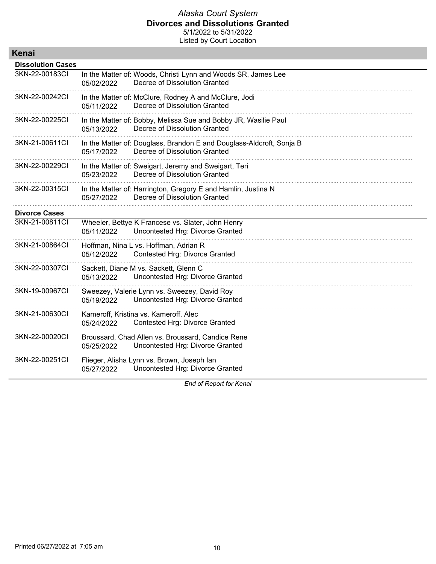Listed by Court Location

| Kenai                    |                                                                                                                     |
|--------------------------|---------------------------------------------------------------------------------------------------------------------|
| <b>Dissolution Cases</b> |                                                                                                                     |
| 3KN-22-00183Cl           | In the Matter of: Woods, Christi Lynn and Woods SR, James Lee<br>Decree of Dissolution Granted<br>05/02/2022        |
| 3KN-22-00242Cl           | In the Matter of: McClure, Rodney A and McClure, Jodi<br>05/11/2022<br>Decree of Dissolution Granted                |
| 3KN-22-00225CI           | In the Matter of: Bobby, Melissa Sue and Bobby JR, Wasilie Paul<br>Decree of Dissolution Granted<br>05/13/2022      |
| 3KN-21-00611Cl           | In the Matter of: Douglass, Brandon E and Douglass-Aldcroft, Sonja B<br>Decree of Dissolution Granted<br>05/17/2022 |
| 3KN-22-00229CI           | In the Matter of: Sweigart, Jeremy and Sweigart, Teri<br>Decree of Dissolution Granted<br>05/23/2022                |
| 3KN-22-00315CI           | In the Matter of: Harrington, Gregory E and Hamlin, Justina N<br>Decree of Dissolution Granted<br>05/27/2022        |
| <b>Divorce Cases</b>     |                                                                                                                     |
| 3KN-21-00811CI           | Wheeler, Bettye K Francese vs. Slater, John Henry<br>Uncontested Hrg: Divorce Granted<br>05/11/2022                 |
| 3KN-21-00864CI           | Hoffman, Nina L vs. Hoffman, Adrian R<br><b>Contested Hrg: Divorce Granted</b><br>05/12/2022                        |
| 3KN-22-00307Cl           | Sackett, Diane M vs. Sackett, Glenn C<br>Uncontested Hrg: Divorce Granted<br>05/13/2022                             |
| 3KN-19-00967CI           | Sweezey, Valerie Lynn vs. Sweezey, David Roy<br>Uncontested Hrg: Divorce Granted<br>05/19/2022                      |
| 3KN-21-00630CI           | Kameroff, Kristina vs. Kameroff, Alec<br>Contested Hrg: Divorce Granted<br>05/24/2022                               |
| 3KN-22-00020Cl           | Broussard, Chad Allen vs. Broussard, Candice Rene<br>Uncontested Hrg: Divorce Granted<br>05/25/2022                 |
| 3KN-22-00251Cl           | Flieger, Alisha Lynn vs. Brown, Joseph lan<br>Uncontested Hrg: Divorce Granted<br>05/27/2022                        |

*End of Report for Kenai*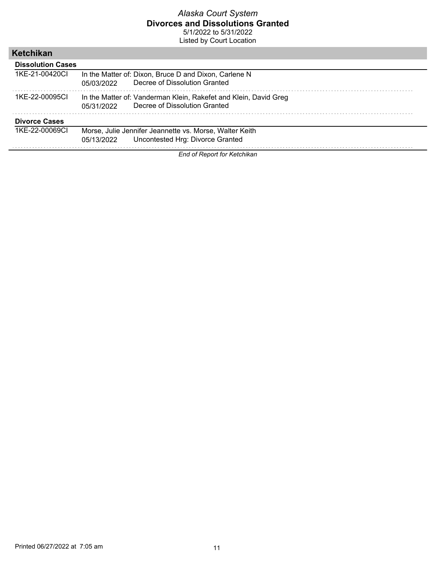Listed by Court Location

| Ketchikan                |                                                                                                                 |
|--------------------------|-----------------------------------------------------------------------------------------------------------------|
| <b>Dissolution Cases</b> |                                                                                                                 |
| 1KE-21-00420CI           | In the Matter of: Dixon, Bruce D and Dixon, Carlene N<br>Decree of Dissolution Granted<br>05/03/2022            |
| 1KE-22-00095CL           | In the Matter of: Vanderman Klein, Rakefet and Klein, David Greg<br>Decree of Dissolution Granted<br>05/31/2022 |
| <b>Divorce Cases</b>     |                                                                                                                 |
| 1KE-22-00069CL           | Morse, Julie Jennifer Jeannette vs. Morse, Walter Keith<br>Uncontested Hrg: Divorce Granted<br>05/13/2022       |

*End of Report for Ketchikan*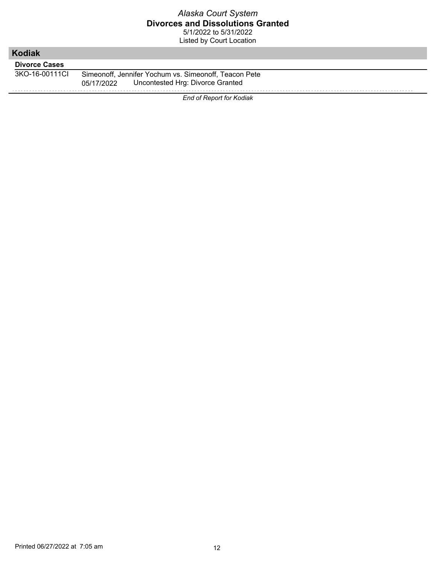| <b>Kodiak</b>        |                                                                                                         |
|----------------------|---------------------------------------------------------------------------------------------------------|
| <b>Divorce Cases</b> |                                                                                                         |
| 3KO-16-00111CL       | Simeonoff, Jennifer Yochum vs. Simeonoff, Teacon Pete<br>Uncontested Hrg: Divorce Granted<br>05/17/2022 |
|                      | End of Report for Kodiak                                                                                |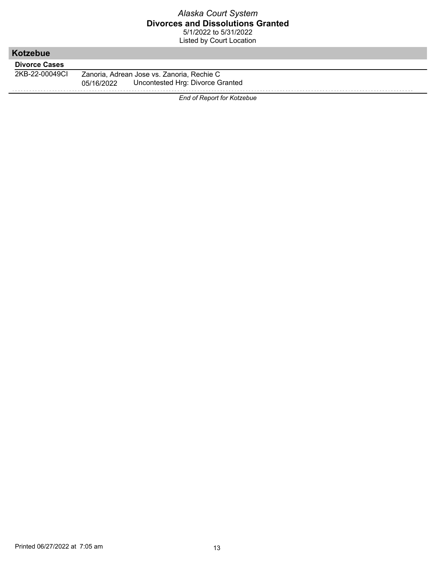| Kotzebue             |                                                |
|----------------------|------------------------------------------------|
| <b>Divorce Cases</b> |                                                |
| 2KB-22-00049CI       | Zanoria, Adrean Jose vs. Zanoria, Rechie C     |
|                      | Uncontested Hrg: Divorce Granted<br>05/16/2022 |
|                      |                                                |
|                      | <b>End of Report for Kotzebue</b>              |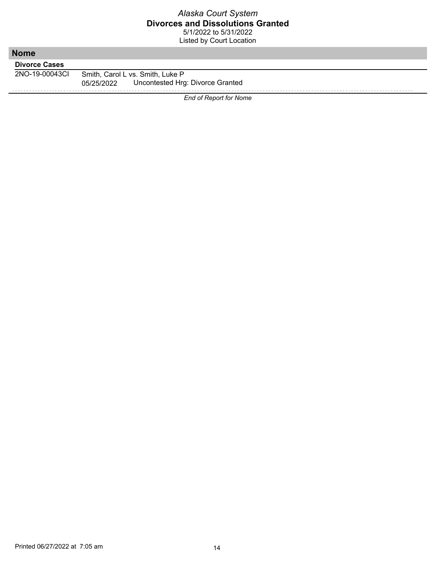| <b>Nome</b>          |                                                                                    |
|----------------------|------------------------------------------------------------------------------------|
| <b>Divorce Cases</b> |                                                                                    |
| 2NO-19-00043CI       | Smith, Carol L vs. Smith, Luke P<br>Uncontested Hrg: Divorce Granted<br>05/25/2022 |
|                      | <b>End of Report for Nome</b>                                                      |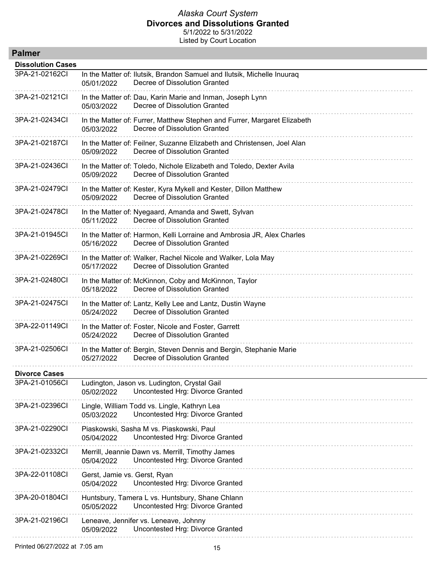| <b>Palmer</b>            |                                                                                                                         |
|--------------------------|-------------------------------------------------------------------------------------------------------------------------|
| <b>Dissolution Cases</b> |                                                                                                                         |
| 3PA-21-02162CI           | In the Matter of: Ilutsik, Brandon Samuel and Ilutsik, Michelle Inuuraq<br>Decree of Dissolution Granted<br>05/01/2022  |
| 3PA-21-02121CI           | In the Matter of: Dau, Karin Marie and Inman, Joseph Lynn<br>Decree of Dissolution Granted<br>05/03/2022                |
| 3PA-21-02434CI           | In the Matter of: Furrer, Matthew Stephen and Furrer, Margaret Elizabeth<br>Decree of Dissolution Granted<br>05/03/2022 |
| 3PA-21-02187CI           | In the Matter of: Feilner, Suzanne Elizabeth and Christensen, Joel Alan<br>Decree of Dissolution Granted<br>05/09/2022  |
| 3PA-21-02436CI           | In the Matter of: Toledo, Nichole Elizabeth and Toledo, Dexter Avila<br>Decree of Dissolution Granted<br>05/09/2022     |
| 3PA-21-02479CI           | In the Matter of: Kester, Kyra Mykell and Kester, Dillon Matthew<br>Decree of Dissolution Granted<br>05/09/2022         |
| 3PA-21-02478CI           | In the Matter of: Nyegaard, Amanda and Swett, Sylvan<br>Decree of Dissolution Granted<br>05/11/2022                     |
| 3PA-21-01945CI           | In the Matter of: Harmon, Kelli Lorraine and Ambrosia JR, Alex Charles<br>Decree of Dissolution Granted<br>05/16/2022   |
| 3PA-21-02269CI           | In the Matter of: Walker, Rachel Nicole and Walker, Lola May<br>Decree of Dissolution Granted<br>05/17/2022             |
| 3PA-21-02480CI           | In the Matter of: McKinnon, Coby and McKinnon, Taylor<br>Decree of Dissolution Granted<br>05/18/2022                    |
| 3PA-21-02475CI           | In the Matter of: Lantz, Kelly Lee and Lantz, Dustin Wayne<br>Decree of Dissolution Granted<br>05/24/2022               |
| 3PA-22-01149CI           | In the Matter of: Foster, Nicole and Foster, Garrett<br>Decree of Dissolution Granted<br>05/24/2022                     |
| 3PA-21-02506CI           | In the Matter of: Bergin, Steven Dennis and Bergin, Stephanie Marie<br>Decree of Dissolution Granted<br>05/27/2022      |
| <b>Divorce Cases</b>     |                                                                                                                         |
| 3PA-21-01056CI           | Ludington, Jason vs. Ludington, Crystal Gail<br>Uncontested Hrg: Divorce Granted<br>05/02/2022                          |
| 3PA-21-02396CI           | Lingle, William Todd vs. Lingle, Kathryn Lea<br>Uncontested Hrg: Divorce Granted<br>05/03/2022                          |
| 3PA-21-02290Cl           | Piaskowski, Sasha M vs. Piaskowski, Paul<br>Uncontested Hrg: Divorce Granted<br>05/04/2022                              |
| 3PA-21-02332CI           | Merrill, Jeannie Dawn vs. Merrill, Timothy James<br>Uncontested Hrg: Divorce Granted<br>05/04/2022                      |
| 3PA-22-01108CI           | Gerst, Jamie vs. Gerst, Ryan<br>Uncontested Hrg: Divorce Granted<br>05/04/2022                                          |
| 3PA-20-01804CI           | Huntsbury, Tamera L vs. Huntsbury, Shane Chlann<br>Uncontested Hrg: Divorce Granted<br>05/05/2022                       |
| 3PA-21-02196CI           | Leneave, Jennifer vs. Leneave, Johnny<br>Uncontested Hrg: Divorce Granted<br>05/09/2022                                 |
|                          |                                                                                                                         |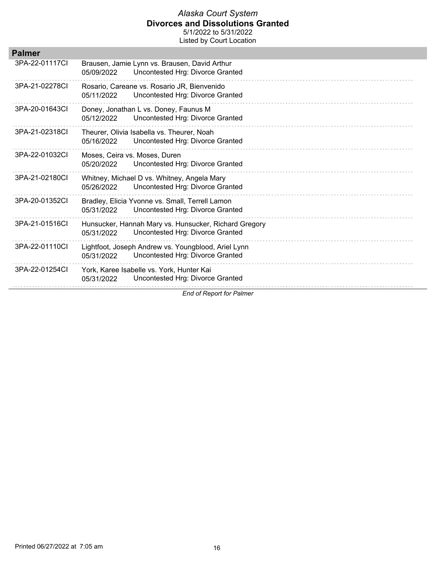Listed by Court Location

| <b>Palmer</b>  |                                                                                                         |
|----------------|---------------------------------------------------------------------------------------------------------|
| 3PA-22-01117CI | Brausen, Jamie Lynn vs. Brausen, David Arthur<br>Uncontested Hrg: Divorce Granted<br>05/09/2022         |
| 3PA-21-02278CI | Rosario, Careane vs. Rosario JR, Bienvenido<br>Uncontested Hrg: Divorce Granted<br>05/11/2022           |
| 3PA-20-01643CI | Doney, Jonathan L vs. Doney, Faunus M<br>Uncontested Hrg: Divorce Granted<br>05/12/2022                 |
| 3PA-21-02318CI | Theurer, Olivia Isabella vs. Theurer, Noah<br>Uncontested Hrg: Divorce Granted<br>05/16/2022            |
| 3PA-22-01032CI | Moses, Ceira vs. Moses, Duren<br>Uncontested Hrg: Divorce Granted<br>05/20/2022                         |
| 3PA-21-02180CL | Whitney, Michael D vs. Whitney, Angela Mary<br>Uncontested Hrg: Divorce Granted<br>05/26/2022           |
| 3PA-20-01352CI | Bradley, Elicia Yvonne vs. Small, Terrell Lamon<br>Uncontested Hrg: Divorce Granted<br>05/31/2022       |
| 3PA-21-01516CI | Hunsucker, Hannah Mary vs. Hunsucker, Richard Gregory<br>Uncontested Hrg: Divorce Granted<br>05/31/2022 |
| 3PA-22-01110CI | Lightfoot, Joseph Andrew vs. Youngblood, Ariel Lynn<br>Uncontested Hrg: Divorce Granted<br>05/31/2022   |
| 3PA-22-01254CI | York, Karee Isabelle vs. York, Hunter Kai<br>Uncontested Hrg: Divorce Granted<br>05/31/2022             |
|                | F.J. J. R.J.<br>$1.1 - 1.1$                                                                             |

*End of Report for Palmer*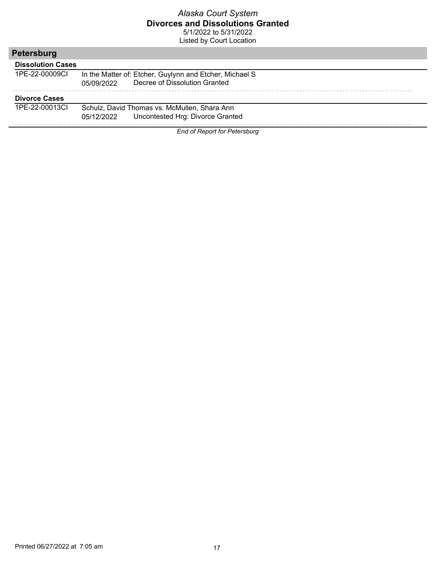Listed by Court Location

| Petersburg               |                                                                                                        |
|--------------------------|--------------------------------------------------------------------------------------------------------|
| <b>Dissolution Cases</b> |                                                                                                        |
| 1PF-22-00009CL           | In the Matter of: Etcher, Guylynn and Etcher, Michael S<br>Decree of Dissolution Granted<br>05/09/2022 |
| <b>Divorce Cases</b>     |                                                                                                        |
| 1PF-22-00013CL           | Schulz, David Thomas vs. McMullen, Shara Ann                                                           |
|                          | Uncontested Hrg: Divorce Granted<br>05/12/2022                                                         |
|                          | _ _ _                                                                                                  |

*End of Report for Petersburg*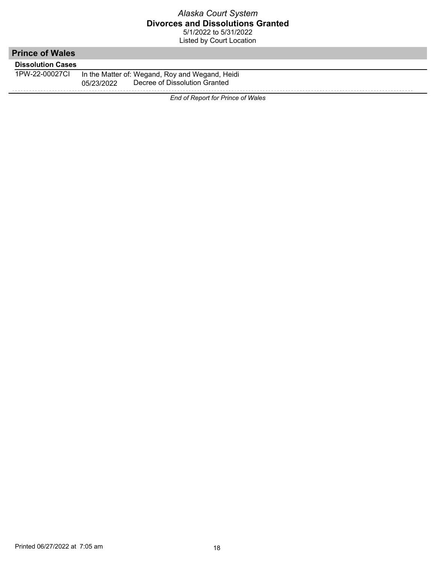| <b>Prince of Wales</b>   |                                                                                                |
|--------------------------|------------------------------------------------------------------------------------------------|
| <b>Dissolution Cases</b> |                                                                                                |
| 1PW-22-00027CL           | In the Matter of: Wegand, Roy and Wegand, Heidi<br>Decree of Dissolution Granted<br>05/23/2022 |
|                          | End of Report for Prince of Wales                                                              |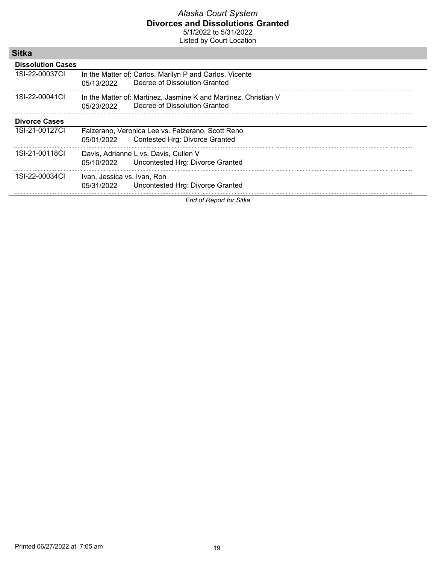Listed by Court Location

| ытка                     |                             |                                                                                                  |
|--------------------------|-----------------------------|--------------------------------------------------------------------------------------------------|
| <b>Dissolution Cases</b> |                             |                                                                                                  |
| 1SI-22-00037CI           | 05/13/2022                  | In the Matter of: Carlos, Marilyn P and Carlos, Vicente<br>Decree of Dissolution Granted         |
| 1SI-22-00041CL           | 05/23/2022                  | In the Matter of: Martinez, Jasmine K and Martinez, Christian V<br>Decree of Dissolution Granted |
| <b>Divorce Cases</b>     |                             |                                                                                                  |
| 1SI-21-00127CI           | 05/01/2022                  | Falzerano, Veronica Lee vs. Falzerano, Scott Reno<br>Contested Hrg: Divorce Granted              |
| 1SI-21-00118CI           | 05/10/2022                  | Davis, Adrianne L vs. Davis, Cullen V<br>Uncontested Hrg: Divorce Granted                        |
| 1SI-22-00034CI           | Ivan, Jessica vs. Ivan, Ron | 05/31/2022 Uncontested Hrg: Divorce Granted                                                      |

*End of Report for Sitka*

**Sitka**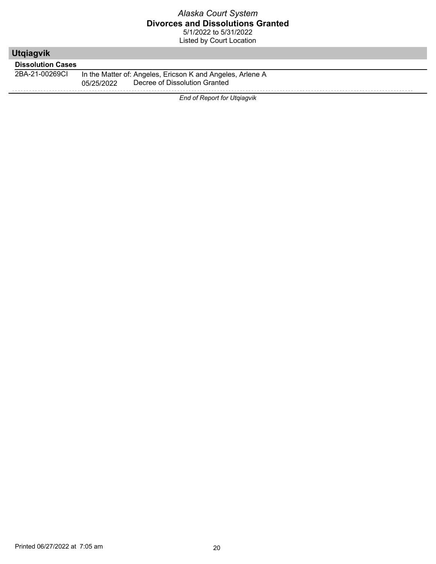| <b>Utgiagvik</b>         |                                                            |
|--------------------------|------------------------------------------------------------|
| <b>Dissolution Cases</b> |                                                            |
| 2BA-21-00269CI           | In the Matter of: Angeles, Ericson K and Angeles, Arlene A |
|                          | Decree of Dissolution Granted<br>05/25/2022                |
|                          | <b>End of Report for Utgiagvik</b>                         |
|                          |                                                            |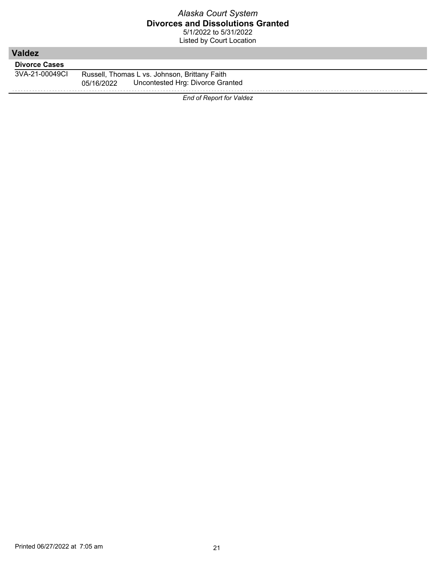| <b>Valdez</b>        |                                                                                                 |
|----------------------|-------------------------------------------------------------------------------------------------|
| <b>Divorce Cases</b> |                                                                                                 |
| 3VA-21-00049CI       | Russell, Thomas L vs. Johnson, Brittany Faith<br>Uncontested Hrg: Divorce Granted<br>05/16/2022 |
|                      | <b>End of Report for Valdez</b>                                                                 |